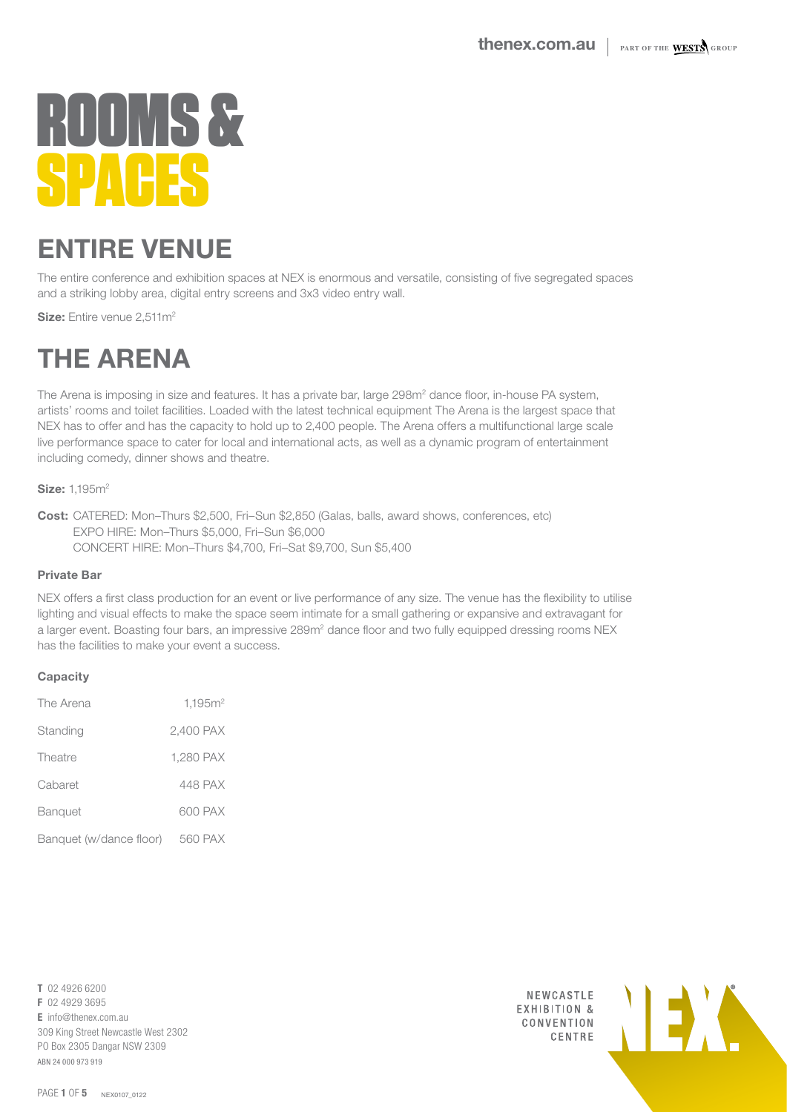## ENTIRE VENUE

The entire conference and exhibition spaces at NEX is enormous and versatile, consisting of five segregated spaces and a striking lobby area, digital entry screens and 3x3 video entry wall.

Size: Entire venue 2,511m<sup>2</sup>

### THE ARENA

The Arena is imposing in size and features. It has a private bar, large 298m<sup>2</sup> dance floor, in-house PA system, artists' rooms and toilet facilities. Loaded with the latest technical equipment The Arena is the largest space that NEX has to offer and has the capacity to hold up to 2,400 people. The Arena offers a multifunctional large scale live performance space to cater for local and international acts, as well as a dynamic program of entertainment including comedy, dinner shows and theatre.

**Size: 1.195m<sup>2</sup>** 

Cost: CATERED: Mon–Thurs \$2,500, Fri–Sun \$2,850 (Galas, balls, award shows, conferences, etc) EXPO HIRE: Mon–Thurs \$5,000, Fri–Sun \$6,000 CONCERT HIRE: Mon–Thurs \$4,700, Fri–Sat \$9,700, Sun \$5,400

#### Private Bar

NEX offers a first class production for an event or live performance of any size. The venue has the flexibility to utilise lighting and visual effects to make the space seem intimate for a small gathering or expansive and extravagant for a larger event. Boasting four bars, an impressive 289m<sup>2</sup> dance floor and two fully equipped dressing rooms NEX has the facilities to make your event a success.

#### **Capacity**

| The Arena               | 1,195m <sup>2</sup> |
|-------------------------|---------------------|
| Standing                | 2,400 PAX           |
| Theatre                 | 1,280 PAX           |
| Cabaret                 | 448 PAX             |
| Banquet                 | 600 PAX             |
| Banquet (w/dance floor) | 560 PAX             |

T 02 4926 6200 F 02 4929 3695 E info@thenex.com.au 309 King Street Newcastle West 2302 PO Box 2305 Dangar NSW 2309 ABN 24 000 973 919

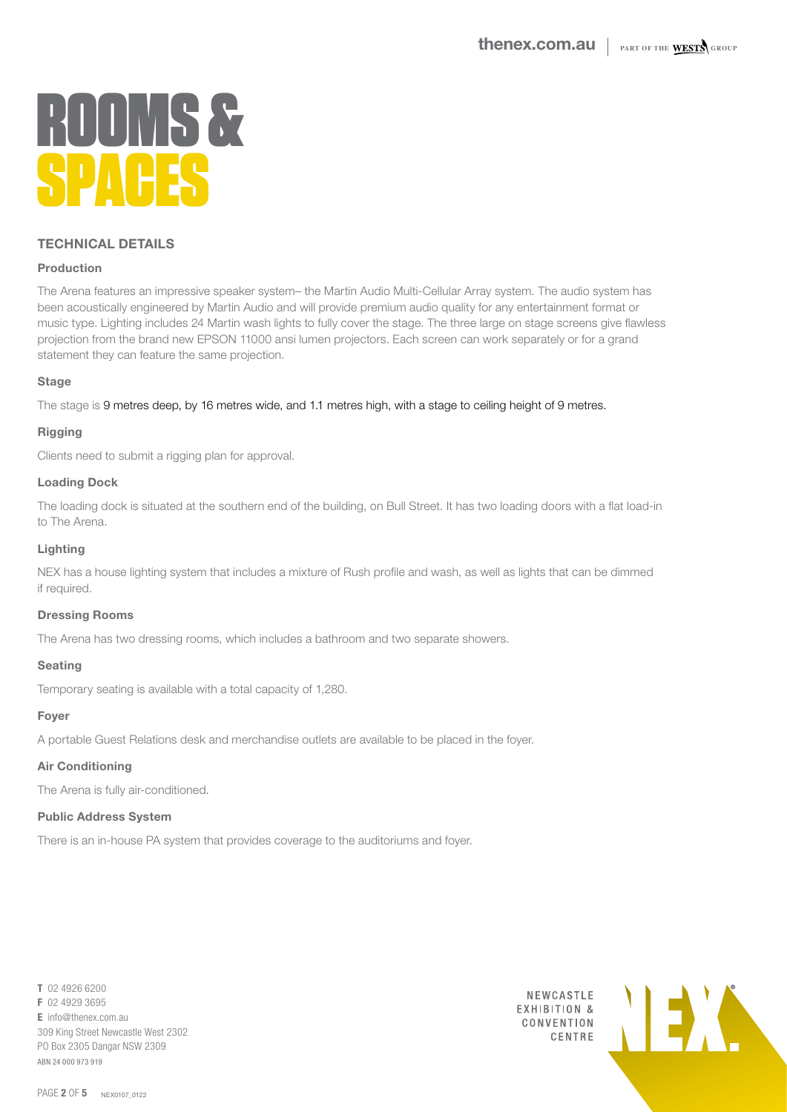#### TECHNICAL DETAILS

#### Production

The Arena features an impressive speaker system– the Martin Audio Multi-Cellular Array system. The audio system has been acoustically engineered by Martin Audio and will provide premium audio quality for any entertainment format or music type. Lighting includes 24 Martin wash lights to fully cover the stage. The three large on stage screens give flawless projection from the brand new EPSON 11000 ansi lumen projectors. Each screen can work separately or for a grand statement they can feature the same projection.

#### **Stage**

The stage is 9 metres deep, by 16 metres wide, and 1.1 metres high, with a stage to ceiling height of 9 metres.

#### Rigging

Clients need to submit a rigging plan for approval.

#### Loading Dock

The loading dock is situated at the southern end of the building, on Bull Street. It has two loading doors with a flat load-in to The Arena.

#### Lighting

NEX has a house lighting system that includes a mixture of Rush profile and wash, as well as lights that can be dimmed if required.

#### Dressing Rooms

The Arena has two dressing rooms, which includes a bathroom and two separate showers.

#### Seating

Temporary seating is available with a total capacity of 1,280.

#### Foyer

A portable Guest Relations desk and merchandise outlets are available to be placed in the foyer.

#### Air Conditioning

The Arena is fully air-conditioned.

#### Public Address System

There is an in-house PA system that provides coverage to the auditoriums and foyer.

T 02 4926 6200 F 02 4929 3695  $\mathsf{F}$  info@thenex.com.au 309 King Street Newcastle West 2302 PO Box 2305 Dangar NSW 2309 ABN 24 000 973 919

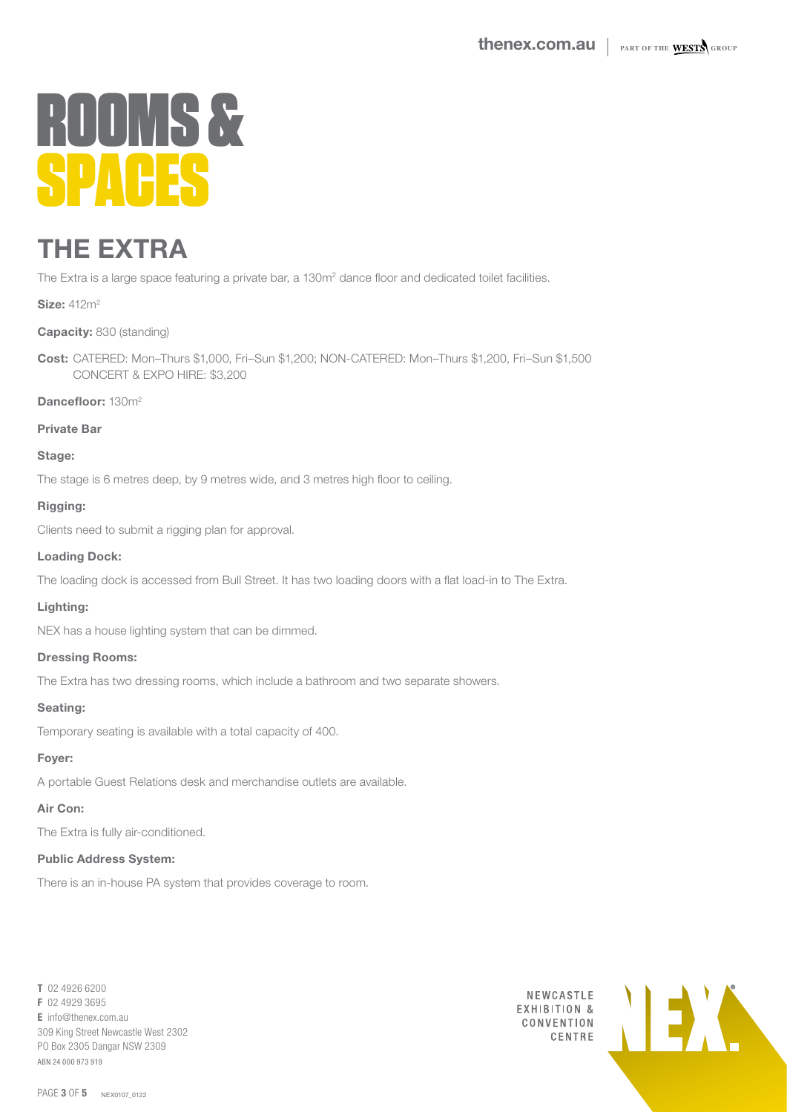### THE EXTRA

The Extra is a large space featuring a private bar, a 130m<sup>2</sup> dance floor and dedicated toilet facilities.

**Size: 412m<sup>2</sup>** 

Capacity: 830 (standing)

Cost: CATERED: Mon–Thurs \$1,000, Fri–Sun \$1,200; NON-CATERED: Mon–Thurs \$1,200, Fri–Sun \$1,500 CONCERT & EXPO HIRE: \$3,200

Dancefloor: 130m<sup>2</sup>

Private Bar

Stage:

The stage is 6 metres deep, by 9 metres wide, and 3 metres high floor to ceiling.

Rigging:

Clients need to submit a rigging plan for approval.

#### Loading Dock:

The loading dock is accessed from Bull Street. It has two loading doors with a flat load-in to The Extra.

#### Lighting:

NEX has a house lighting system that can be dimmed.

#### Dressing Rooms:

The Extra has two dressing rooms, which include a bathroom and two separate showers.

#### Seating:

Temporary seating is available with a total capacity of 400.

#### Foyer:

A portable Guest Relations desk and merchandise outlets are available.

#### Air Con:

The Extra is fully air-conditioned.

#### Public Address System:

There is an in-house PA system that provides coverage to room.

T 02 4926 6200 F 02 4929 3695 E info@thenex.com.au 309 King Street Newcastle West 2302 PO Box 2305 Dangar NSW 2309 ABN 24 000 973 919



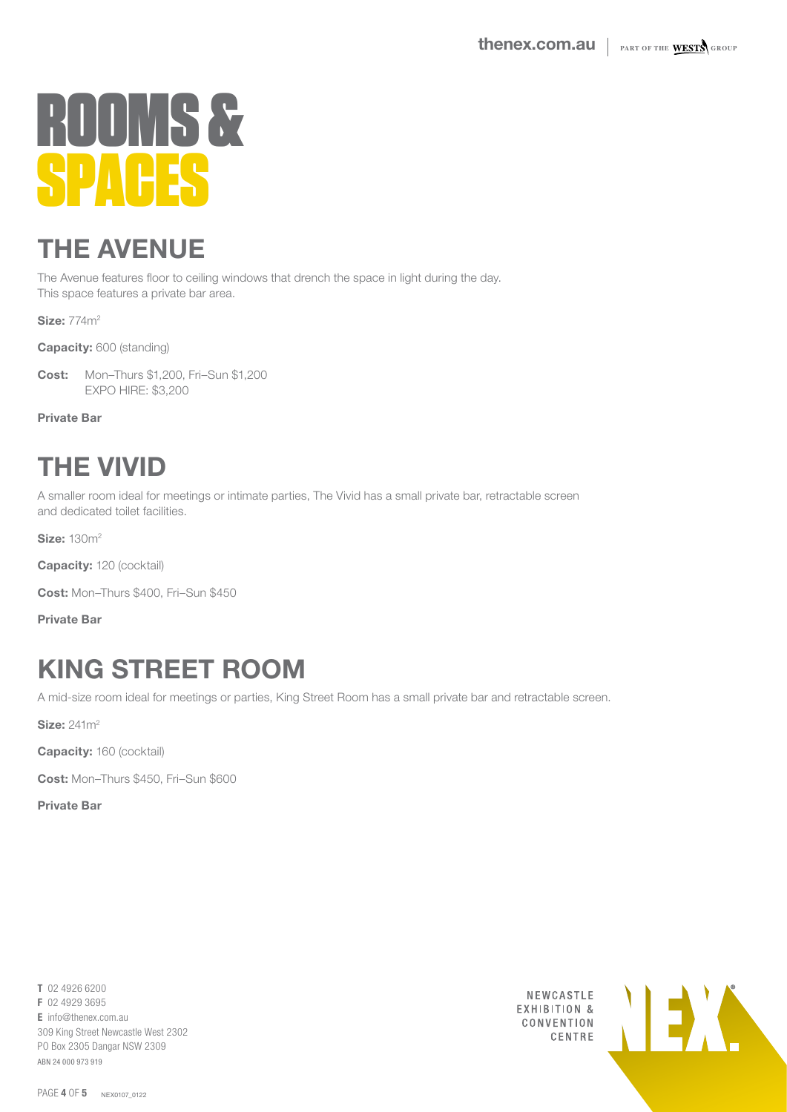### THE AVENUE

The Avenue features floor to ceiling windows that drench the space in light during the day. This space features a private bar area.

**Size: 774m<sup>2</sup>** 

Capacity: 600 (standing)

Cost: Mon–Thurs \$1,200, Fri–Sun \$1,200 EXPO HIRE: \$3,200

Private Bar

### THE VIVID

A smaller room ideal for meetings or intimate parties, The Vivid has a small private bar, retractable screen and dedicated toilet facilities.

**Size: 130m<sup>2</sup>** 

Capacity: 120 (cocktail)

Cost: Mon–Thurs \$400, Fri–Sun \$450

Private Bar

## KING STREET ROOM

A mid-size room ideal for meetings or parties, King Street Room has a small private bar and retractable screen.

**Size: 241m<sup>2</sup>** 

Capacity: 160 (cocktail)

Cost: Mon–Thurs \$450, Fri–Sun \$600

Private Bar

T 02 4926 6200 F 02 4929 3695 E info@thenex.com.au 309 King Street Newcastle West 2302 PO Box 2305 Dangar NSW 2309 ABN 24 000 973 919